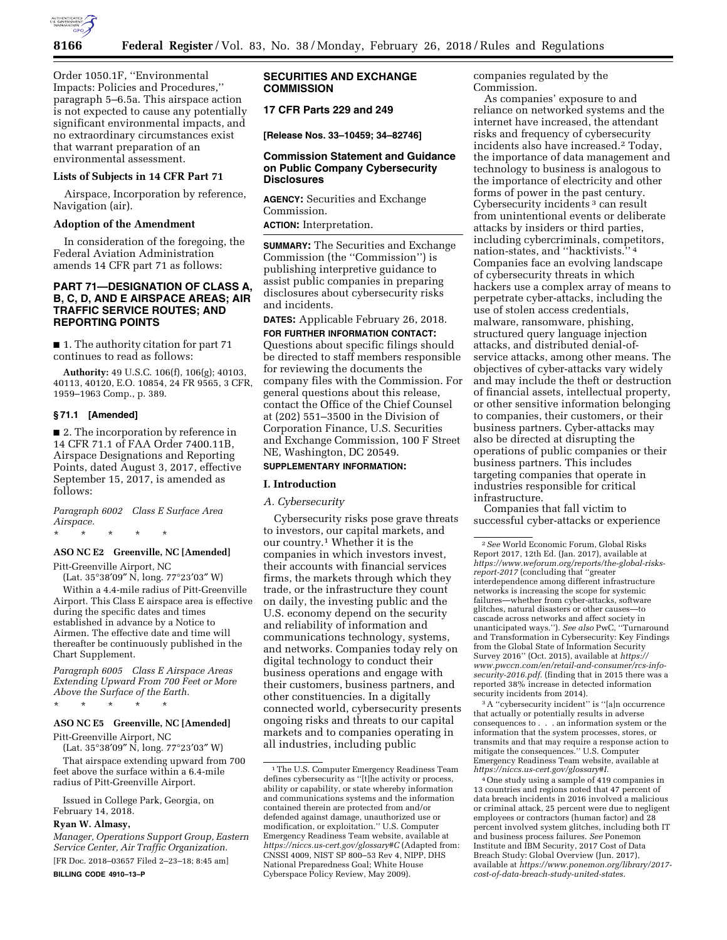

Order 1050.1F, ''Environmental Impacts: Policies and Procedures,'' paragraph 5–6.5a. This airspace action is not expected to cause any potentially significant environmental impacts, and no extraordinary circumstances exist that warrant preparation of an environmental assessment.

### **Lists of Subjects in 14 CFR Part 71**

Airspace, Incorporation by reference, Navigation (air).

#### **Adoption of the Amendment**

In consideration of the foregoing, the Federal Aviation Administration amends 14 CFR part 71 as follows:

## **PART 71—DESIGNATION OF CLASS A, B, C, D, AND E AIRSPACE AREAS; AIR TRAFFIC SERVICE ROUTES; AND REPORTING POINTS**

■ 1. The authority citation for part 71 continues to read as follows:

**Authority:** 49 U.S.C. 106(f), 106(g); 40103, 40113, 40120, E.O. 10854, 24 FR 9565, 3 CFR, 1959–1963 Comp., p. 389.

#### **§ 71.1 [Amended]**

■ 2. The incorporation by reference in 14 CFR 71.1 of FAA Order 7400.11B, Airspace Designations and Reporting Points, dated August 3, 2017, effective September 15, 2017, is amended as follows:

*Paragraph 6002 Class E Surface Area Airspace.* 

\* \* \* \* \*

# **ASO NC E2 Greenville, NC [Amended]**

Pitt-Greenville Airport, NC

(Lat. 35°38′09″ N, long. 77°23′03″ W) Within a 4.4-mile radius of Pitt-Greenville Airport. This Class E airspace area is effective during the specific dates and times established in advance by a Notice to Airmen. The effective date and time will thereafter be continuously published in the

*Paragraph 6005 Class E Airspace Areas Extending Upward From 700 Feet or More Above the Surface of the Earth.* 

\* \* \* \* \*

Chart Supplement.

### **ASO NC E5 Greenville, NC [Amended]**

Pitt-Greenville Airport, NC

(Lat. 35°38′09″ N, long. 77°23′03″ W)

That airspace extending upward from 700 feet above the surface within a 6.4-mile radius of Pitt-Greenville Airport.

Issued in College Park, Georgia, on February 14, 2018.

## **Ryan W. Almasy,**

*Manager, Operations Support Group, Eastern Service Center, Air Traffic Organization.*  [FR Doc. 2018–03657 Filed 2–23–18; 8:45 am]

**BILLING CODE 4910–13–P** 

# **SECURITIES AND EXCHANGE COMMISSION**

**17 CFR Parts 229 and 249** 

**[Release Nos. 33–10459; 34–82746]** 

## **Commission Statement and Guidance on Public Company Cybersecurity Disclosures**

**AGENCY:** Securities and Exchange Commission.

**ACTION:** Interpretation.

**SUMMARY:** The Securities and Exchange Commission (the ''Commission'') is publishing interpretive guidance to assist public companies in preparing disclosures about cybersecurity risks and incidents.

**DATES:** Applicable February 26, 2018.

**FOR FURTHER INFORMATION CONTACT:**  Questions about specific filings should be directed to staff members responsible for reviewing the documents the company files with the Commission. For general questions about this release, contact the Office of the Chief Counsel at (202) 551–3500 in the Division of Corporation Finance, U.S. Securities and Exchange Commission, 100 F Street NE, Washington, DC 20549.

### **SUPPLEMENTARY INFORMATION:**

### **I. Introduction**

### *A. Cybersecurity*

Cybersecurity risks pose grave threats to investors, our capital markets, and our country.1 Whether it is the companies in which investors invest, their accounts with financial services firms, the markets through which they trade, or the infrastructure they count on daily, the investing public and the U.S. economy depend on the security and reliability of information and communications technology, systems, and networks. Companies today rely on digital technology to conduct their business operations and engage with their customers, business partners, and other constituencies. In a digitally connected world, cybersecurity presents ongoing risks and threats to our capital markets and to companies operating in all industries, including public

companies regulated by the Commission.

As companies' exposure to and reliance on networked systems and the internet have increased, the attendant risks and frequency of cybersecurity incidents also have increased.2 Today, the importance of data management and technology to business is analogous to the importance of electricity and other forms of power in the past century. Cybersecurity incidents 3 can result from unintentional events or deliberate attacks by insiders or third parties, including cybercriminals, competitors, nation-states, and ''hacktivists.'' 4 Companies face an evolving landscape of cybersecurity threats in which hackers use a complex array of means to perpetrate cyber-attacks, including the use of stolen access credentials, malware, ransomware, phishing, structured query language injection attacks, and distributed denial-ofservice attacks, among other means. The objectives of cyber-attacks vary widely and may include the theft or destruction of financial assets, intellectual property, or other sensitive information belonging to companies, their customers, or their business partners. Cyber-attacks may also be directed at disrupting the operations of public companies or their business partners. This includes targeting companies that operate in industries responsible for critical infrastructure.

Companies that fall victim to successful cyber-attacks or experience

3A ''cybersecurity incident'' is ''[a]n occurrence that actually or potentially results in adverse consequences to . . . an information system or the information that the system processes, stores, or transmits and that may require a response action to mitigate the consequences.'' U.S. Computer Emergency Readiness Team website, available at *[https://niccs.us-cert.gov/glossary#I.](https://niccs.us-cert.gov/glossary#I)* 

4One study using a sample of 419 companies in 13 countries and regions noted that 47 percent of data breach incidents in 2016 involved a malicious or criminal attack, 25 percent were due to negligent employees or contractors (human factor) and 28 percent involved system glitches, including both IT and business process failures. *See* Ponemon Institute and IBM Security, 2017 Cost of Data Breach Study: Global Overview (Jun. 2017), available at *[https://www.ponemon.org/library/2017](https://www.ponemon.org/library/2017-cost-of-data-breach-study-united-states) [cost-of-data-breach-study-united-states.](https://www.ponemon.org/library/2017-cost-of-data-breach-study-united-states)* 

<sup>1</sup>The U.S. Computer Emergency Readiness Team defines cybersecurity as ''[t]he activity or process, ability or capability, or state whereby information and communications systems and the information contained therein are protected from and/or defended against damage, unauthorized use or modification, or exploitation.'' U.S. Computer Emergency Readiness Team website, available at *<https://niccs.us-cert.gov/glossary#C>* (Adapted from: CNSSI 4009, NIST SP 800–53 Rev 4, NIPP, DHS National Preparedness Goal; White House Cyberspace Policy Review, May 2009).

<sup>2</sup>*See* World Economic Forum, Global Risks Report 2017, 12th Ed. (Jan. 2017), available at *[https://www.weforum.org/reports/the-global-risks](https://www.weforum.org/reports/the-global-risks-report-2017)[report-2017](https://www.weforum.org/reports/the-global-risks-report-2017)* (concluding that ''greater interdependence among different infrastructure networks is increasing the scope for systemic failures—whether from cyber-attacks, software glitches, natural disasters or other causes—to cascade across networks and affect society in unanticipated ways.''). *See also* PwC, ''Turnaround and Transformation in Cybersecurity: Key Findings from the Global State of Information Security Survey 2016'' (Oct. 2015), available at *[https://](https://www.pwccn.com/en/retail-and-consumer/rcs-info-security-2016.pdf) [www.pwccn.com/en/retail-and-consumer/rcs-info](https://www.pwccn.com/en/retail-and-consumer/rcs-info-security-2016.pdf)[security-2016.pdf.](https://www.pwccn.com/en/retail-and-consumer/rcs-info-security-2016.pdf)* (finding that in 2015 there was a reported 38% increase in detected information security incidents from 2014).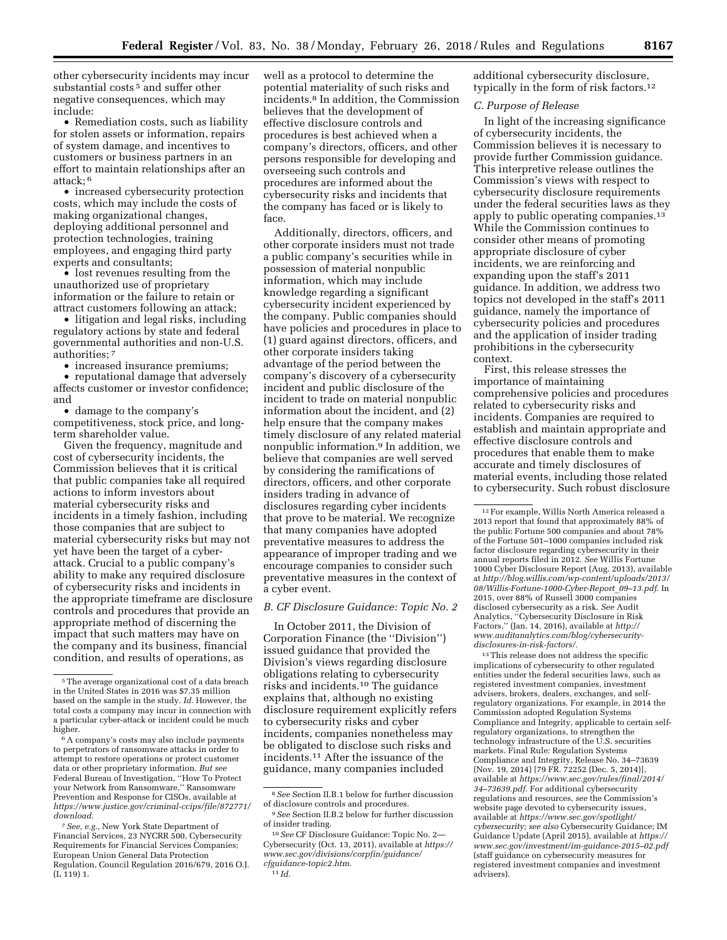other cybersecurity incidents may incur substantial costs<sup>5</sup> and suffer other negative consequences, which may include:

• Remediation costs, such as liability for stolen assets or information, repairs of system damage, and incentives to customers or business partners in an effort to maintain relationships after an attack; 6

• increased cybersecurity protection costs, which may include the costs of making organizational changes, deploying additional personnel and protection technologies, training employees, and engaging third party experts and consultants;

• lost revenues resulting from the unauthorized use of proprietary information or the failure to retain or attract customers following an attack;

• litigation and legal risks, including regulatory actions by state and federal governmental authorities and non-U.S. authorities; 7

• increased insurance premiums;

• reputational damage that adversely affects customer or investor confidence; and

• damage to the company's competitiveness, stock price, and longterm shareholder value.

Given the frequency, magnitude and cost of cybersecurity incidents, the Commission believes that it is critical that public companies take all required actions to inform investors about material cybersecurity risks and incidents in a timely fashion, including those companies that are subject to material cybersecurity risks but may not yet have been the target of a cyberattack. Crucial to a public company's ability to make any required disclosure of cybersecurity risks and incidents in the appropriate timeframe are disclosure controls and procedures that provide an appropriate method of discerning the impact that such matters may have on the company and its business, financial condition, and results of operations, as

well as a protocol to determine the potential materiality of such risks and incidents.8 In addition, the Commission believes that the development of effective disclosure controls and procedures is best achieved when a company's directors, officers, and other persons responsible for developing and overseeing such controls and procedures are informed about the cybersecurity risks and incidents that the company has faced or is likely to face.

Additionally, directors, officers, and other corporate insiders must not trade a public company's securities while in possession of material nonpublic information, which may include knowledge regarding a significant cybersecurity incident experienced by the company. Public companies should have policies and procedures in place to (1) guard against directors, officers, and other corporate insiders taking advantage of the period between the company's discovery of a cybersecurity incident and public disclosure of the incident to trade on material nonpublic information about the incident, and (2) help ensure that the company makes timely disclosure of any related material nonpublic information.9 In addition, we believe that companies are well served by considering the ramifications of directors, officers, and other corporate insiders trading in advance of disclosures regarding cyber incidents that prove to be material. We recognize that many companies have adopted preventative measures to address the appearance of improper trading and we encourage companies to consider such preventative measures in the context of a cyber event.

### *B. CF Disclosure Guidance: Topic No. 2*

In October 2011, the Division of Corporation Finance (the ''Division'') issued guidance that provided the Division's views regarding disclosure obligations relating to cybersecurity risks and incidents.10 The guidance explains that, although no existing disclosure requirement explicitly refers to cybersecurity risks and cyber incidents, companies nonetheless may be obligated to disclose such risks and incidents.11 After the issuance of the guidance, many companies included

additional cybersecurity disclosure, typically in the form of risk factors.12

### *C. Purpose of Release*

In light of the increasing significance of cybersecurity incidents, the Commission believes it is necessary to provide further Commission guidance. This interpretive release outlines the Commission's views with respect to cybersecurity disclosure requirements under the federal securities laws as they apply to public operating companies.13 While the Commission continues to consider other means of promoting appropriate disclosure of cyber incidents, we are reinforcing and expanding upon the staff's 2011 guidance. In addition, we address two topics not developed in the staff's 2011 guidance, namely the importance of cybersecurity policies and procedures and the application of insider trading prohibitions in the cybersecurity context.

First, this release stresses the importance of maintaining comprehensive policies and procedures related to cybersecurity risks and incidents. Companies are required to establish and maintain appropriate and effective disclosure controls and procedures that enable them to make accurate and timely disclosures of material events, including those related to cybersecurity. Such robust disclosure

<sup>13</sup>This release does not address the specific implications of cybersecurity to other regulated entities under the federal securities laws, such as registered investment companies, investment advisers, brokers, dealers, exchanges, and selfregulatory organizations. For example, in 2014 the Commission adopted Regulation Systems Compliance and Integrity, applicable to certain selfregulatory organizations, to strengthen the technology infrastructure of the U.S. securities markets. Final Rule: Regulation Systems Compliance and Integrity, Release No. 34–73639 (Nov. 19, 2014) [79 FR. 72252 (Dec. 5, 2014)], available at *[https://www.sec.gov/rules/final/2014/](https://www.sec.gov/rules/final/2014/34-73639.pdf) [34–73639.pdf.](https://www.sec.gov/rules/final/2014/34-73639.pdf)* For additional cybersecurity regulations and resources, *see* the Commission's website page devoted to cybersecurity issues, available at *[https://www.sec.gov/spotlight/](https://www.sec.gov/spotlight/cybersecurity)  [cybersecurity;](https://www.sec.gov/spotlight/cybersecurity) see also* Cybersecurity Guidance; IM Guidance Update (April 2015), available at *[https://](https://www.sec.gov/investment/im-guidance-2015-02.pdf) [www.sec.gov/investment/im-guidance-2015–02.pdf](https://www.sec.gov/investment/im-guidance-2015-02.pdf)*  (staff guidance on cybersecurity measures for registered investment companies and investment advisers).

<sup>5</sup>The average organizational cost of a data breach in the United States in 2016 was \$7.35 million based on the sample in the study. *Id.* However, the total costs a company may incur in connection with a particular cyber-attack or incident could be much higher.

<sup>6</sup>A company's costs may also include payments to perpetrators of ransomware attacks in order to attempt to restore operations or protect customer data or other proprietary information. *But see*  Federal Bureau of Investigation, ''How To Protect your Network from Ransomware,'' Ransomware Prevention and Response for CISOs, available at *[https://www.justice.gov/criminal-ccips/file/872771/](https://www.justice.gov/criminal-ccips/file/872771/download) [download.](https://www.justice.gov/criminal-ccips/file/872771/download)* 

<sup>7</sup>*See, e.g.,* New York State Department of Financial Services, 23 NYCRR 500, Cybersecurity Requirements for Financial Services Companies; European Union General Data Protection Regulation, Council Regulation 2016/679, 2016 O.J.  $(L_119)1$ .

<sup>8</sup>*See* Section II.B.1 below for further discussion of disclosure controls and procedures.

<sup>9</sup>*See* Section II.B.2 below for further discussion of insider trading.

<sup>10</sup>*See* CF Disclosure Guidance: Topic No. 2— Cybersecurity (Oct. 13, 2011), available at *[https://](https://www.sec.gov/divisions/corpfin/guidance/cfguidance-topic2.htm) [www.sec.gov/divisions/corpfin/guidance/](https://www.sec.gov/divisions/corpfin/guidance/cfguidance-topic2.htm) [cfguidance-topic2.htm.](https://www.sec.gov/divisions/corpfin/guidance/cfguidance-topic2.htm)*  11 *Id.* 

<sup>12</sup>For example, Willis North America released a 2013 report that found that approximately 88% of the public Fortune 500 companies and about 78% of the Fortune 501–1000 companies included risk factor disclosure regarding cybersecurity in their annual reports filed in 2012. *See* Willis Fortune 1000 Cyber Disclosure Report (Aug. 2013), available at *[http://blog.willis.com/wp-content/uploads/2013/](http://blog.willis.com/wp-content/uploads/2013/08/Willis-Fortune-1000-Cyber-Report_09-13.pdf) [08/Willis-Fortune-1000-Cyber-Report](http://blog.willis.com/wp-content/uploads/2013/08/Willis-Fortune-1000-Cyber-Report_09-13.pdf)*\_*09–13.pdf.* In 2015, over 88% of Russell 3000 companies disclosed cybersecurity as a risk. *See* Audit Analytics, ''Cybersecurity Disclosure in Risk Factors,'' (Jan. 14, 2016), available at *[http://](http://www.auditanalytics.com/blog/cybersecurity-disclosures-in-risk-factors/) [www.auditanalytics.com/blog/cybersecurity](http://www.auditanalytics.com/blog/cybersecurity-disclosures-in-risk-factors/)[disclosures-in-risk-factors/.](http://www.auditanalytics.com/blog/cybersecurity-disclosures-in-risk-factors/)*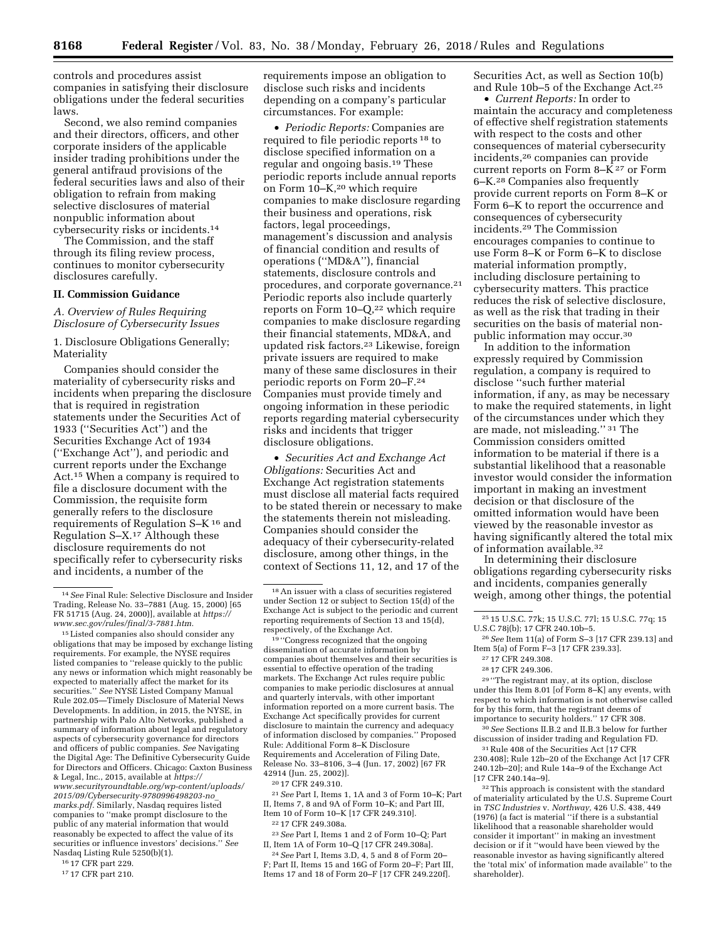controls and procedures assist companies in satisfying their disclosure obligations under the federal securities laws.

Second, we also remind companies and their directors, officers, and other corporate insiders of the applicable insider trading prohibitions under the general antifraud provisions of the federal securities laws and also of their obligation to refrain from making selective disclosures of material nonpublic information about cybersecurity risks or incidents.14

The Commission, and the staff through its filing review process, continues to monitor cybersecurity disclosures carefully.

### **II. Commission Guidance**

*A. Overview of Rules Requiring Disclosure of Cybersecurity Issues* 

1. Disclosure Obligations Generally; Materiality

Companies should consider the materiality of cybersecurity risks and incidents when preparing the disclosure that is required in registration statements under the Securities Act of 1933 (''Securities Act'') and the Securities Exchange Act of 1934 (''Exchange Act''), and periodic and current reports under the Exchange Act.15 When a company is required to file a disclosure document with the Commission, the requisite form generally refers to the disclosure requirements of Regulation S–K 16 and Regulation S–X.17 Although these disclosure requirements do not specifically refer to cybersecurity risks and incidents, a number of the

15Listed companies also should consider any obligations that may be imposed by exchange listing requirements. For example, the NYSE requires listed companies to ''release quickly to the public any news or information which might reasonably be expected to materially affect the market for its securities.'' *See* NYSE Listed Company Manual Rule 202.05—Timely Disclosure of Material News Developments. In addition, in 2015, the NYSE, in partnership with Palo Alto Networks, published a summary of information about legal and regulatory aspects of cybersecurity governance for directors and officers of public companies. *See* Navigating the Digital Age: The Definitive Cybersecurity Guide for Directors and Officers. Chicago: Caxton Business & Legal, Inc., 2015, available at *[https://](https://www.securityroundtable.org/wp-content/uploads/2015/09/Cybersecurity-9780996498203-no_marks.pdf) [www.securityroundtable.org/wp-content/uploads/](https://www.securityroundtable.org/wp-content/uploads/2015/09/Cybersecurity-9780996498203-no_marks.pdf)  [2015/09/Cybersecurity-9780996498203-no](https://www.securityroundtable.org/wp-content/uploads/2015/09/Cybersecurity-9780996498203-no_marks.pdf)*\_ *[marks.pdf.](https://www.securityroundtable.org/wp-content/uploads/2015/09/Cybersecurity-9780996498203-no_marks.pdf)* Similarly, Nasdaq requires listed companies to ''make prompt disclosure to the public of any material information that would reasonably be expected to affect the value of its securities or influence investors' decisions.'' *See*  Nasdaq Listing Rule 5250(b)(1).

16 17 CFR part 229.

17 17 CFR part 210.

requirements impose an obligation to disclose such risks and incidents depending on a company's particular circumstances. For example:

• *Periodic Reports:* Companies are required to file periodic reports 18 to disclose specified information on a regular and ongoing basis.19 These periodic reports include annual reports on Form 10–K,20 which require companies to make disclosure regarding their business and operations, risk factors, legal proceedings, management's discussion and analysis of financial condition and results of operations (''MD&A''), financial statements, disclosure controls and procedures, and corporate governance.21 Periodic reports also include quarterly reports on Form  $10-Q$ ,<sup>22</sup> which require companies to make disclosure regarding their financial statements, MD&A, and updated risk factors.23 Likewise, foreign private issuers are required to make many of these same disclosures in their periodic reports on Form 20–F.24 Companies must provide timely and ongoing information in these periodic reports regarding material cybersecurity risks and incidents that trigger disclosure obligations.

• *Securities Act and Exchange Act Obligations:* Securities Act and Exchange Act registration statements must disclose all material facts required to be stated therein or necessary to make the statements therein not misleading. Companies should consider the adequacy of their cybersecurity-related disclosure, among other things, in the context of Sections 11, 12, and 17 of the

19 ''Congress recognized that the ongoing dissemination of accurate information by companies about themselves and their securities is essential to effective operation of the trading markets. The Exchange Act rules require public companies to make periodic disclosures at annual and quarterly intervals, with other important information reported on a more current basis. The Exchange Act specifically provides for current disclosure to maintain the currency and adequacy of information disclosed by companies.'' Proposed Rule: Additional Form 8–K Disclosure Requirements and Acceleration of Filing Date, Release No. 33–8106, 3–4 (Jun. 17, 2002) [67 FR 42914 (Jun. 25, 2002)].

21*See* Part I, Items 1, 1A and 3 of Form 10–K; Part II, Items 7, 8 and 9A of Form 10–K; and Part III, Item 10 of Form 10–K [17 CFR 249.310].

23*See* Part I, Items 1 and 2 of Form 10–Q; Part II, Item 1A of Form 10–Q [17 CFR 249.308a].

24*See* Part I, Items 3.D, 4, 5 and 8 of Form 20– F; Part II, Items 15 and 16G of Form 20–F; Part III, Items 17 and 18 of Form 20–F [17 CFR 249.220f].

Securities Act, as well as Section 10(b) and Rule 10b–5 of the Exchange Act.25

• *Current Reports:* In order to maintain the accuracy and completeness of effective shelf registration statements with respect to the costs and other consequences of material cybersecurity incidents,26 companies can provide current reports on Form 8– $\hat{K}^{27}$  or Form 6–K.28 Companies also frequently provide current reports on Form 8–K or Form 6–K to report the occurrence and consequences of cybersecurity incidents.29 The Commission encourages companies to continue to use Form 8–K or Form 6–K to disclose material information promptly, including disclosure pertaining to cybersecurity matters. This practice reduces the risk of selective disclosure, as well as the risk that trading in their securities on the basis of material nonpublic information may occur.30

In addition to the information expressly required by Commission regulation, a company is required to disclose ''such further material information, if any, as may be necessary to make the required statements, in light of the circumstances under which they are made, not misleading.'' 31 The Commission considers omitted information to be material if there is a substantial likelihood that a reasonable investor would consider the information important in making an investment decision or that disclosure of the omitted information would have been viewed by the reasonable investor as having significantly altered the total mix of information available.32

In determining their disclosure obligations regarding cybersecurity risks and incidents, companies generally weigh, among other things, the potential

29 ''The registrant may, at its option, disclose under this Item 8.01 [of Form 8–K] any events, with respect to which information is not otherwise called for by this form, that the registrant deems of importance to security holders.'' 17 CFR 308.

30*See* Sections II.B.2 and II.B.3 below for further discussion of insider trading and Regulation FD.

31Rule 408 of the Securities Act [17 CFR 230.408]; Rule 12b–20 of the Exchange Act [17 CFR 240.12b–20]; and Rule 14a–9 of the Exchange Act [17 CFR 240.14a–9].

32This approach is consistent with the standard of materiality articulated by the U.S. Supreme Court in *TSC Industries* v. *Northway,* 426 U.S. 438, 449 (1976) (a fact is material ''if there is a substantial likelihood that a reasonable shareholder would consider it important'' in making an investment decision or if it ''would have been viewed by the reasonable investor as having significantly altered the 'total mix' of information made available'' to the shareholder).

<sup>14</sup>*See* Final Rule: Selective Disclosure and Insider Trading, Release No. 33–7881 (Aug. 15, 2000) [65 FR 51715 (Aug. 24, 2000)], available at *[https://](https://www.sec.gov/rules/final/3-7881.htm) [www.sec.gov/rules/final/3-7881.htm.](https://www.sec.gov/rules/final/3-7881.htm)* 

<sup>18</sup>An issuer with a class of securities registered under Section 12 or subject to Section 15(d) of the Exchange Act is subject to the periodic and current reporting requirements of Section 13 and 15(d), respectively, of the Exchange Act.

<sup>20</sup> 17 CFR 249.310.

<sup>22</sup> 17 CFR 249.308a.

<sup>25</sup> 15 U.S.C. 77k; 15 U.S.C. 77l; 15 U.S.C. 77q; 15 U.S.C 78j(b); 17 CFR 240.10b–5.

<sup>26</sup>*See* Item 11(a) of Form S–3 [17 CFR 239.13] and Item 5(a) of Form F–3 [17 CFR 239.33].

<sup>27</sup> 17 CFR 249.308.

<sup>28</sup> 17 CFR 249.306.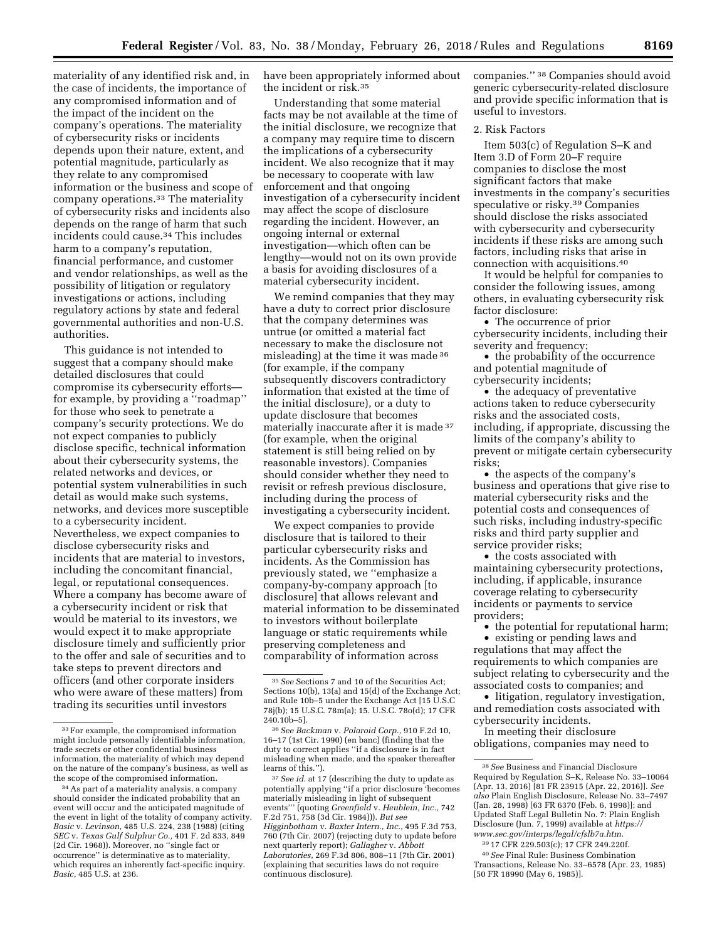materiality of any identified risk and, in the case of incidents, the importance of any compromised information and of the impact of the incident on the company's operations. The materiality of cybersecurity risks or incidents depends upon their nature, extent, and potential magnitude, particularly as they relate to any compromised information or the business and scope of company operations.33 The materiality of cybersecurity risks and incidents also depends on the range of harm that such incidents could cause.34 This includes harm to a company's reputation, financial performance, and customer and vendor relationships, as well as the possibility of litigation or regulatory investigations or actions, including regulatory actions by state and federal governmental authorities and non-U.S. authorities.

This guidance is not intended to suggest that a company should make detailed disclosures that could compromise its cybersecurity efforts for example, by providing a ''roadmap'' for those who seek to penetrate a company's security protections. We do not expect companies to publicly disclose specific, technical information about their cybersecurity systems, the related networks and devices, or potential system vulnerabilities in such detail as would make such systems, networks, and devices more susceptible to a cybersecurity incident. Nevertheless, we expect companies to disclose cybersecurity risks and incidents that are material to investors, including the concomitant financial, legal, or reputational consequences. Where a company has become aware of a cybersecurity incident or risk that would be material to its investors, we would expect it to make appropriate disclosure timely and sufficiently prior to the offer and sale of securities and to take steps to prevent directors and officers (and other corporate insiders who were aware of these matters) from trading its securities until investors

have been appropriately informed about the incident or risk.35

Understanding that some material facts may be not available at the time of the initial disclosure, we recognize that a company may require time to discern the implications of a cybersecurity incident. We also recognize that it may be necessary to cooperate with law enforcement and that ongoing investigation of a cybersecurity incident may affect the scope of disclosure regarding the incident. However, an ongoing internal or external investigation—which often can be lengthy—would not on its own provide a basis for avoiding disclosures of a material cybersecurity incident.

We remind companies that they may have a duty to correct prior disclosure that the company determines was untrue (or omitted a material fact necessary to make the disclosure not misleading) at the time it was made 36 (for example, if the company subsequently discovers contradictory information that existed at the time of the initial disclosure), or a duty to update disclosure that becomes materially inaccurate after it is made 37 (for example, when the original statement is still being relied on by reasonable investors). Companies should consider whether they need to revisit or refresh previous disclosure, including during the process of investigating a cybersecurity incident.

We expect companies to provide disclosure that is tailored to their particular cybersecurity risks and incidents. As the Commission has previously stated, we ''emphasize a company-by-company approach [to disclosure] that allows relevant and material information to be disseminated to investors without boilerplate language or static requirements while preserving completeness and comparability of information across

companies.'' 38 Companies should avoid generic cybersecurity-related disclosure and provide specific information that is useful to investors.

### 2. Risk Factors

Item 503(c) of Regulation S–K and Item 3.D of Form 20–F require companies to disclose the most significant factors that make investments in the company's securities speculative or risky.39 Companies should disclose the risks associated with cybersecurity and cybersecurity incidents if these risks are among such factors, including risks that arise in connection with acquisitions.40

It would be helpful for companies to consider the following issues, among others, in evaluating cybersecurity risk factor disclosure:

• The occurrence of prior cybersecurity incidents, including their severity and frequency;

• the probability of the occurrence and potential magnitude of cybersecurity incidents;

• the adequacy of preventative actions taken to reduce cybersecurity risks and the associated costs, including, if appropriate, discussing the limits of the company's ability to prevent or mitigate certain cybersecurity risks;

• the aspects of the company's business and operations that give rise to material cybersecurity risks and the potential costs and consequences of such risks, including industry-specific risks and third party supplier and service provider risks;

• the costs associated with maintaining cybersecurity protections, including, if applicable, insurance coverage relating to cybersecurity incidents or payments to service providers;

• the potential for reputational harm;

• existing or pending laws and regulations that may affect the requirements to which companies are subject relating to cybersecurity and the

associated costs to companies; and • litigation, regulatory investigation,

and remediation costs associated with cybersecurity incidents. In meeting their disclosure

obligations, companies may need to

39 17 CFR 229.503(c); 17 CFR 249.220f.

40*See* Final Rule: Business Combination Transactions, Release No. 33–6578 (Apr. 23, 1985) [50 FR 18990 (May 6, 1985)].

<sup>33</sup>For example, the compromised information might include personally identifiable information, trade secrets or other confidential business information, the materiality of which may depend on the nature of the company's business, as well as the scope of the compromised information.

<sup>34</sup>As part of a materiality analysis, a company should consider the indicated probability that an event will occur and the anticipated magnitude of the event in light of the totality of company activity. *Basic* v. *Levinson,* 485 U.S. 224, 238 (1988) (citing *SEC* v. *Texas Gulf Sulphur Co.,* 401 F. 2d 833, 849 (2d Cir. 1968)). Moreover, no ''single fact or occurrence'' is determinative as to materiality, which requires an inherently fact-specific inquiry. *Basic,* 485 U.S. at 236.

<sup>35</sup>*See* Sections 7 and 10 of the Securities Act; Sections 10(b), 13(a) and 15(d) of the Exchange Act; and Rule 10b–5 under the Exchange Act [15 U.S.C 78j(b); 15 U.S.C. 78m(a); 15. U.S.C. 78o(d); 17 CFR 240.10b–5].

<sup>36</sup>*See Backman* v. *Polaroid Corp.,* 910 F.2d 10, 16–17 (1st Cir. 1990) (en banc) (finding that the duty to correct applies ''if a disclosure is in fact misleading when made, and the speaker thereafter learns of this.'').

<sup>37</sup>*See id.* at 17 (describing the duty to update as potentially applying ''if a prior disclosure 'becomes materially misleading in light of subsequent events''' (quoting *Greenfield* v. *Heublein, Inc.,* 742 F.2d 751, 758 (3d Cir. 1984))). *But see Higginbotham* v. *Baxter Intern., Inc.,* 495 F.3d 753, 760 (7th Cir. 2007) (rejecting duty to update before next quarterly report); *Gallagher* v. *Abbott Laboratories,* 269 F.3d 806, 808–11 (7th Cir. 2001) (explaining that securities laws do not require continuous disclosure).

<sup>38</sup>*See* Business and Financial Disclosure Required by Regulation S–K, Release No. 33–10064 (Apr. 13, 2016) [81 FR 23915 (Apr. 22, 2016)]. *See also* Plain English Disclosure, Release No. 33–7497 (Jan. 28, 1998) [63 FR 6370 (Feb. 6, 1998)]; and Updated Staff Legal Bulletin No. 7: Plain English Disclosure (Jun. 7, 1999) available at *[https://](https://www.sec.gov/interps/legal/cfslb7a.htm) [www.sec.gov/interps/legal/cfslb7a.htm.](https://www.sec.gov/interps/legal/cfslb7a.htm)*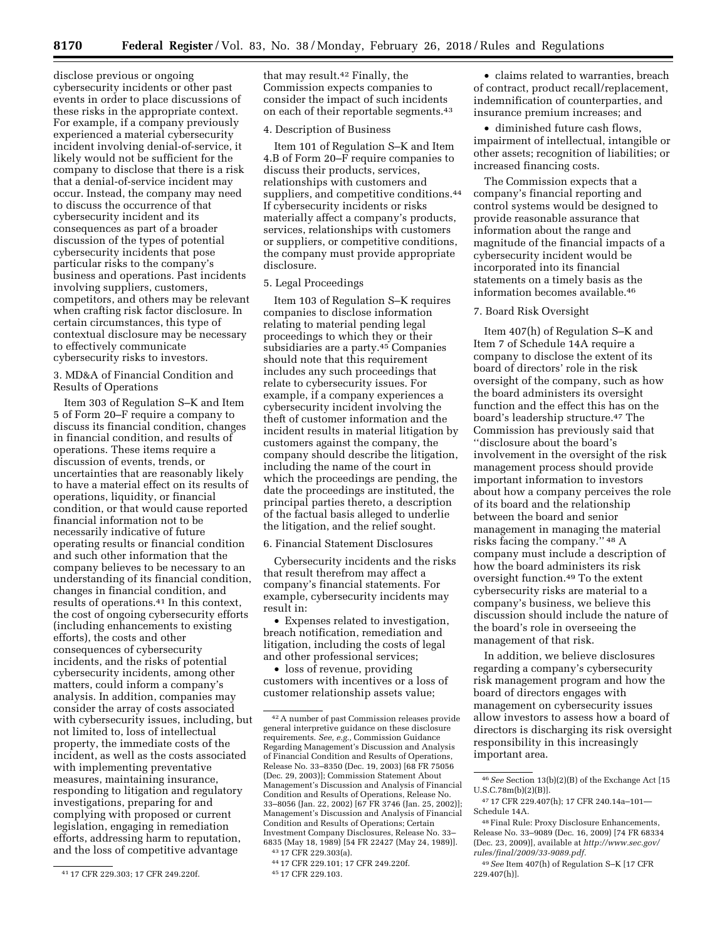disclose previous or ongoing cybersecurity incidents or other past events in order to place discussions of these risks in the appropriate context. For example, if a company previously experienced a material cybersecurity incident involving denial-of-service, it likely would not be sufficient for the company to disclose that there is a risk that a denial-of-service incident may occur. Instead, the company may need to discuss the occurrence of that cybersecurity incident and its consequences as part of a broader discussion of the types of potential cybersecurity incidents that pose particular risks to the company's business and operations. Past incidents involving suppliers, customers, competitors, and others may be relevant when crafting risk factor disclosure. In certain circumstances, this type of contextual disclosure may be necessary to effectively communicate cybersecurity risks to investors.

3. MD&A of Financial Condition and Results of Operations

Item 303 of Regulation S–K and Item 5 of Form 20–F require a company to discuss its financial condition, changes in financial condition, and results of operations. These items require a discussion of events, trends, or uncertainties that are reasonably likely to have a material effect on its results of operations, liquidity, or financial condition, or that would cause reported financial information not to be necessarily indicative of future operating results or financial condition and such other information that the company believes to be necessary to an understanding of its financial condition, changes in financial condition, and results of operations.41 In this context, the cost of ongoing cybersecurity efforts (including enhancements to existing efforts), the costs and other consequences of cybersecurity incidents, and the risks of potential cybersecurity incidents, among other matters, could inform a company's analysis. In addition, companies may consider the array of costs associated with cybersecurity issues, including, but not limited to, loss of intellectual property, the immediate costs of the incident, as well as the costs associated with implementing preventative measures, maintaining insurance, responding to litigation and regulatory investigations, preparing for and complying with proposed or current legislation, engaging in remediation efforts, addressing harm to reputation, and the loss of competitive advantage

that may result.42 Finally, the Commission expects companies to consider the impact of such incidents on each of their reportable segments.43

## 4. Description of Business

Item 101 of Regulation S–K and Item 4.B of Form 20–F require companies to discuss their products, services, relationships with customers and suppliers, and competitive conditions.<sup>44</sup> If cybersecurity incidents or risks materially affect a company's products, services, relationships with customers or suppliers, or competitive conditions, the company must provide appropriate disclosure.

# 5. Legal Proceedings

Item 103 of Regulation S–K requires companies to disclose information relating to material pending legal proceedings to which they or their subsidiaries are a party.45 Companies should note that this requirement includes any such proceedings that relate to cybersecurity issues. For example, if a company experiences a cybersecurity incident involving the theft of customer information and the incident results in material litigation by customers against the company, the company should describe the litigation, including the name of the court in which the proceedings are pending, the date the proceedings are instituted, the principal parties thereto, a description of the factual basis alleged to underlie the litigation, and the relief sought.

#### 6. Financial Statement Disclosures

Cybersecurity incidents and the risks that result therefrom may affect a company's financial statements. For example, cybersecurity incidents may result in:

• Expenses related to investigation, breach notification, remediation and litigation, including the costs of legal and other professional services;

• loss of revenue, providing customers with incentives or a loss of customer relationship assets value;

• claims related to warranties, breach of contract, product recall/replacement, indemnification of counterparties, and insurance premium increases; and

• diminished future cash flows, impairment of intellectual, intangible or other assets; recognition of liabilities; or increased financing costs.

The Commission expects that a company's financial reporting and control systems would be designed to provide reasonable assurance that information about the range and magnitude of the financial impacts of a cybersecurity incident would be incorporated into its financial statements on a timely basis as the information becomes available.46

### 7. Board Risk Oversight

Item 407(h) of Regulation S–K and Item 7 of Schedule 14A require a company to disclose the extent of its board of directors' role in the risk oversight of the company, such as how the board administers its oversight function and the effect this has on the board's leadership structure.47 The Commission has previously said that ''disclosure about the board's involvement in the oversight of the risk management process should provide important information to investors about how a company perceives the role of its board and the relationship between the board and senior management in managing the material risks facing the company.'' 48 A company must include a description of how the board administers its risk oversight function.49 To the extent cybersecurity risks are material to a company's business, we believe this discussion should include the nature of the board's role in overseeing the management of that risk.

In addition, we believe disclosures regarding a company's cybersecurity risk management program and how the board of directors engages with management on cybersecurity issues allow investors to assess how a board of directors is discharging its risk oversight responsibility in this increasingly important area.

<sup>41</sup> 17 CFR 229.303; 17 CFR 249.220f.

<sup>42</sup>A number of past Commission releases provide general interpretive guidance on these disclosure requirements. *See, e.g.,* Commission Guidance Regarding Management's Discussion and Analysis of Financial Condition and Results of Operations, Release No. 33–8350 (Dec. 19, 2003) [68 FR 75056 (Dec. 29, 2003)]; Commission Statement About Management's Discussion and Analysis of Financial Condition and Results of Operations, Release No. 33–8056 (Jan. 22, 2002) [67 FR 3746 (Jan. 25, 2002)]; Management's Discussion and Analysis of Financial Condition and Results of Operations; Certain Investment Company Disclosures, Release No. 33– 6835 (May 18, 1989) [54 FR 22427 (May 24, 1989)].

<sup>43</sup> 17 CFR 229.303(a).

<sup>44</sup> 17 CFR 229.101; 17 CFR 249.220f.

<sup>45</sup> 17 CFR 229.103.

<sup>46</sup>*See* Section 13(b)(2)(B) of the Exchange Act [15 U.S.C.78m(b)(2)(B)].

<sup>47</sup> 17 CFR 229.407(h); 17 CFR 240.14a–101— Schedule 14A.

<sup>48</sup>Final Rule: Proxy Disclosure Enhancements, Release No. 33–9089 (Dec. 16, 2009) [74 FR 68334 (Dec. 23, 2009)], available at *[http://www.sec.gov/](http://www.sec.gov/rules/final/2009/33-9089.pdf)  [rules/final/2009/33-9089.pdf.](http://www.sec.gov/rules/final/2009/33-9089.pdf)* 

<sup>49</sup>*See* Item 407(h) of Regulation S–K [17 CFR 229.407(h)].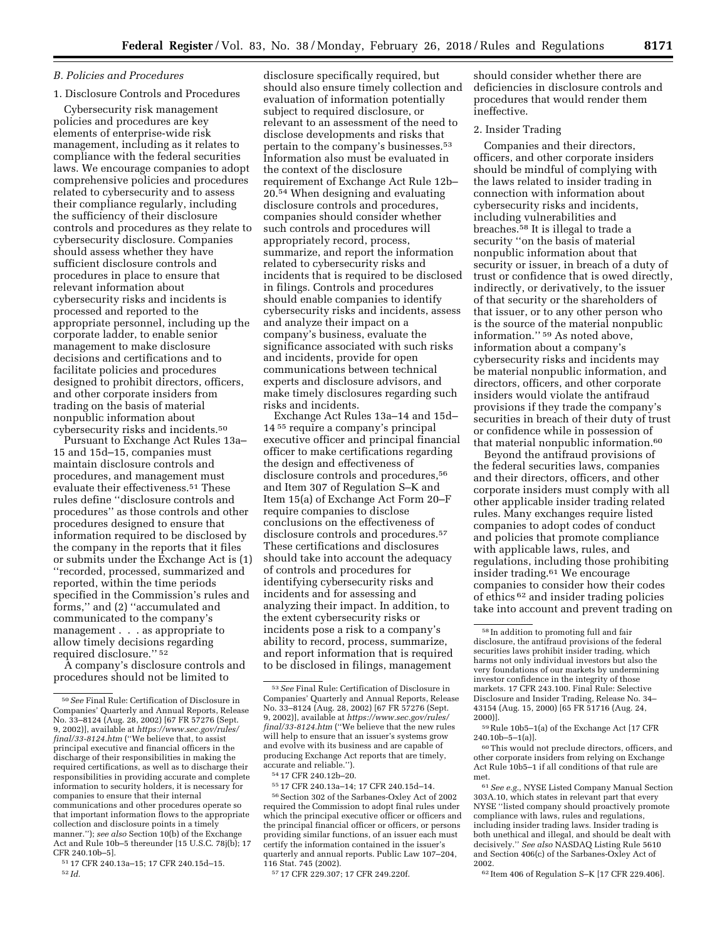### *B. Policies and Procedures*

## 1. Disclosure Controls and Procedures

Cybersecurity risk management policies and procedures are key elements of enterprise-wide risk management, including as it relates to compliance with the federal securities laws. We encourage companies to adopt comprehensive policies and procedures related to cybersecurity and to assess their compliance regularly, including the sufficiency of their disclosure controls and procedures as they relate to cybersecurity disclosure. Companies should assess whether they have sufficient disclosure controls and procedures in place to ensure that relevant information about cybersecurity risks and incidents is processed and reported to the appropriate personnel, including up the corporate ladder, to enable senior management to make disclosure decisions and certifications and to facilitate policies and procedures designed to prohibit directors, officers, and other corporate insiders from trading on the basis of material nonpublic information about cybersecurity risks and incidents.50

Pursuant to Exchange Act Rules 13a– 15 and 15d–15, companies must maintain disclosure controls and procedures, and management must evaluate their effectiveness.51 These rules define ''disclosure controls and procedures'' as those controls and other procedures designed to ensure that information required to be disclosed by the company in the reports that it files or submits under the Exchange Act is (1) ''recorded, processed, summarized and reported, within the time periods specified in the Commission's rules and forms,'' and (2) ''accumulated and communicated to the company's management . . . as appropriate to allow timely decisions regarding required disclosure.'' 52

A company's disclosure controls and procedures should not be limited to

51 17 CFR 240.13a–15; 17 CFR 240.15d–15. 52 *Id.* 

disclosure specifically required, but should also ensure timely collection and evaluation of information potentially subject to required disclosure, or relevant to an assessment of the need to disclose developments and risks that pertain to the company's businesses.53 Information also must be evaluated in the context of the disclosure requirement of Exchange Act Rule 12b– 20.54 When designing and evaluating disclosure controls and procedures, companies should consider whether such controls and procedures will appropriately record, process, summarize, and report the information related to cybersecurity risks and incidents that is required to be disclosed in filings. Controls and procedures should enable companies to identify cybersecurity risks and incidents, assess and analyze their impact on a company's business, evaluate the significance associated with such risks and incidents, provide for open communications between technical experts and disclosure advisors, and make timely disclosures regarding such risks and incidents.

Exchange Act Rules 13a–14 and 15d– 14 55 require a company's principal executive officer and principal financial officer to make certifications regarding the design and effectiveness of disclosure controls and procedures,<sup>56</sup> and Item 307 of Regulation S–K and Item 15(a) of Exchange Act Form 20–F require companies to disclose conclusions on the effectiveness of disclosure controls and procedures.57 These certifications and disclosures should take into account the adequacy of controls and procedures for identifying cybersecurity risks and incidents and for assessing and analyzing their impact. In addition, to the extent cybersecurity risks or incidents pose a risk to a company's ability to record, process, summarize, and report information that is required to be disclosed in filings, management

54 17 CFR 240.12b–20.

57 17 CFR 229.307; 17 CFR 249.220f.

should consider whether there are deficiencies in disclosure controls and procedures that would render them ineffective.

## 2. Insider Trading

Companies and their directors, officers, and other corporate insiders should be mindful of complying with the laws related to insider trading in connection with information about cybersecurity risks and incidents, including vulnerabilities and breaches.58 It is illegal to trade a security ''on the basis of material nonpublic information about that security or issuer, in breach of a duty of trust or confidence that is owed directly, indirectly, or derivatively, to the issuer of that security or the shareholders of that issuer, or to any other person who is the source of the material nonpublic information.'' 59 As noted above, information about a company's cybersecurity risks and incidents may be material nonpublic information, and directors, officers, and other corporate insiders would violate the antifraud provisions if they trade the company's securities in breach of their duty of trust or confidence while in possession of that material nonpublic information.60

Beyond the antifraud provisions of the federal securities laws, companies and their directors, officers, and other corporate insiders must comply with all other applicable insider trading related rules. Many exchanges require listed companies to adopt codes of conduct and policies that promote compliance with applicable laws, rules, and regulations, including those prohibiting insider trading.61 We encourage companies to consider how their codes of ethics 62 and insider trading policies take into account and prevent trading on

59Rule 10b5–1(a) of the Exchange Act [17 CFR  $240.10b - 5 - 1(a)$ ].

60This would not preclude directors, officers, and other corporate insiders from relying on Exchange Act Rule 10b5–1 if all conditions of that rule are met.

62 Item 406 of Regulation S–K [17 CFR 229.406].

<sup>50</sup>*See* Final Rule: Certification of Disclosure in Companies' Quarterly and Annual Reports, Release No. 33–8124 (Aug. 28, 2002) [67 FR 57276 (Sept. 9, 2002)], available at *[https://www.sec.gov/rules/](https://www.sec.gov/rules/final/33-8124.htm) [final/33-8124.htm](https://www.sec.gov/rules/final/33-8124.htm)* (''We believe that, to assist principal executive and financial officers in the discharge of their responsibilities in making the required certifications, as well as to discharge their responsibilities in providing accurate and complete information to security holders, it is necessary for companies to ensure that their internal communications and other procedures operate so that important information flows to the appropriate collection and disclosure points in a timely manner.''); *see also* Section 10(b) of the Exchange Act and Rule 10b–5 thereunder [15 U.S.C. 78j(b); 17 CFR 240.10b–5].

<sup>53</sup>*See* Final Rule: Certification of Disclosure in Companies' Quarterly and Annual Reports, Release No. 33–8124 (Aug. 28, 2002) [67 FR 57276 (Sept. 9, 2002)], available at *[https://www.sec.gov/rules/](https://www.sec.gov/rules/final/33-8124.htm) [final/33-8124.htm](https://www.sec.gov/rules/final/33-8124.htm)* (''We believe that the new rules will help to ensure that an issuer's systems grow and evolve with its business and are capable of producing Exchange Act reports that are timely, accurate and reliable.'').

<sup>55</sup> 17 CFR 240.13a–14; 17 CFR 240.15d–14.

<sup>56</sup>Section 302 of the Sarbanes-Oxley Act of 2002 required the Commission to adopt final rules under which the principal executive officer or officers and the principal financial officer or officers, or persons providing similar functions, of an issuer each must certify the information contained in the issuer's quarterly and annual reports. Public Law 107–204, 116 Stat. 745 (2002).

<sup>58</sup> In addition to promoting full and fair disclosure, the antifraud provisions of the federal securities laws prohibit insider trading, which harms not only individual investors but also the very foundations of our markets by undermining investor confidence in the integrity of those markets. 17 CFR 243.100. Final Rule: Selective Disclosure and Insider Trading, Release No. 34– 43154 (Aug. 15, 2000) [65 FR 51716 (Aug. 24, 2000)].

<sup>61</sup>*See e.g.,* NYSE Listed Company Manual Section 303A.10, which states in relevant part that every NYSE ''listed company should proactively promote compliance with laws, rules and regulations, including insider trading laws. Insider trading is both unethical and illegal, and should be dealt with decisively.'' *See also* NASDAQ Listing Rule 5610 and Section 406(c) of the Sarbanes-Oxley Act of 2002.